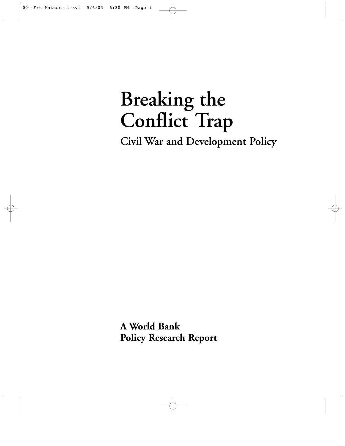# **Breaking the Conflict Trap**

**Civil War and Development Policy**

**A World Bank Policy Research Report**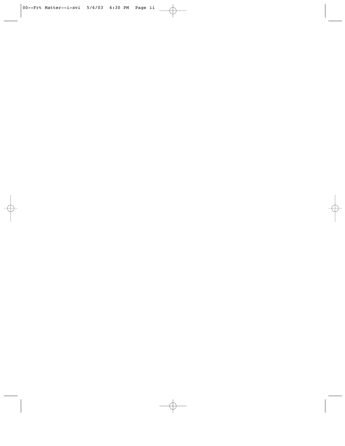$\overline{\mathcal{A}}$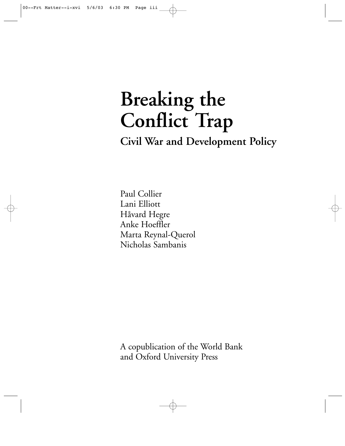# **Breaking the Conflict Trap**

**Civil War and Development Policy**

Paul Collier Lani Elliott Håvard Hegre Anke Hoeffler Marta Reynal-Querol Nicholas Sambanis

A copublication of the World Bank and Oxford University Press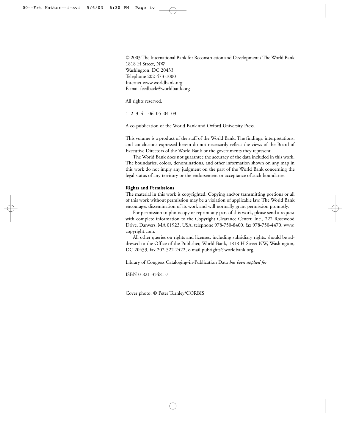© 2003 The International Bank for Reconstruction and Development / The World Bank 1818 H Street, NW Washington, DC 20433 Telephone 202-473-1000 Internet www.worldbank.org E-mail feedback@worldbank.org

All rights reserved.

1 2 3 4 06 05 04 03

A co-publication of the World Bank and Oxford University Press.

This volume is a product of the staff of the World Bank. The findings, interpretations, and conclusions expressed herein do not necessarily reflect the views of the Board of Executive Directors of the World Bank or the governments they represent.

The World Bank does not guarantee the accuracy of the data included in this work. The boundaries, colors, denominations, and other information shown on any map in this work do not imply any judgment on the part of the World Bank concerning the legal status of any territory or the endorsement or acceptance of such boundaries.

#### **Rights and Permissions**

The material in this work is copyrighted. Copying and/or transmitting portions or all of this work without permission may be a violation of applicable law. The World Bank encourages dissemination of its work and will normally grant permission promptly.

For permission to photocopy or reprint any part of this work, please send a request with complete information to the Copyright Clearance Center, Inc., 222 Rosewood Drive, Danvers, MA 01923, USA, telephone 978-750-8400, fax 978-750-4470, www. copyright.com.

All other queries on rights and licenses, including subsidiary rights, should be addressed to the Office of the Publisher, World Bank, 1818 H Street NW, Washington, DC 20433, fax 202-522-2422, e-mail pubrights@worldbank.org.

Library of Congress Cataloging-in-Publication Data *has been applied for*

ISBN 0-821-35481-7

Cover photo: © Peter Turnley/CORBIS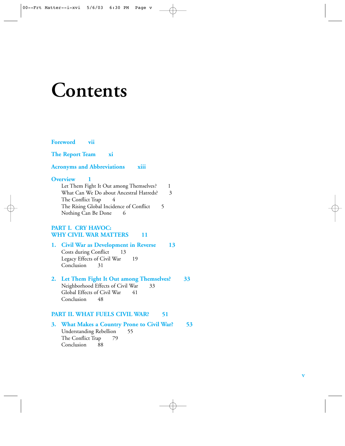# **Contents**

**Foreword vii**

**The Report Team xi**

### **Acronyms and Abbreviations xiii**

#### **Overview 1**

| Let Them Fight It Out among Themselves? |    |   |
|-----------------------------------------|----|---|
| What Can We Do about Ancestral Hatreds? |    | 3 |
| The Conflict Trap                       |    |   |
| The Rising Global Incidence of Conflict | 5. |   |
| Nothing Can Be Done                     |    |   |

### **PART I. CRY HAVOC: WHY CIVIL WAR MATTERS 11**

- **1. Civil War as Development in Reverse 13** Costs during Conflict 13 Legacy Effects of Civil War 19 Conclusion 31
- **2. Let Them Fight It Out among Themselves? 33** Neighborhood Effects of Civil War 33 Global Effects of Civil War 41 Conclusion 48

### **PART II. WHAT FUELS CIVIL WAR?** 51

**3. What Makes a Country Prone to Civil War? 53** Understanding Rebellion 55 The Conflict Trap 79 Conclusion 88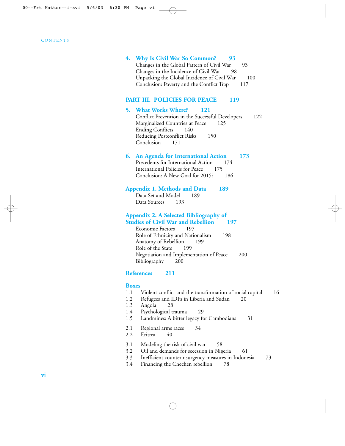#### **CONTENTS**

## **4. Why Is Civil War So Common? 93** Changes in the Global Pattern of Civil War 93 Changes in the Incidence of Civil War 98 Unpacking the Global Incidence of Civil War 100 Conclusion: Poverty and the Conflict Trap 117 **PART III. POLICIES FOR PEACE 119 5. What Works Where? 121** Conflict Prevention in the Successful Developers 122 Marginalized Countries at Peace 125 Ending Conflicts 140 Reducing Postconflict Risks 150 Conclusion 171

### **6. An Agenda for International Action 173** Precedents for International Action 174 International Policies for Peace 175 Conclusion: A New Goal for 2015? 186

#### **Appendix 1. Methods and Data 189**

Data Set and Model 189 Data Sources 193

### **Appendix 2. A Selected Bibliography of**

**Studies of Civil War and Rebellion 197** Economic Factors 197 Role of Ethnicity and Nationalism 198 Anatomy of Rebellion 199 Role of the State 199 Negotiation and Implementation of Peace 200 Bibliography 200

#### **References 211**

#### **Boxes**

- 1.1 Violent conflict and the transformation of social capital 16
- 1.2 Refugees and IDPs in Liberia and Sudan 20
- 1.3 Angola 28
- 1.4 Psychological trauma 29
- 1.5 Landmines: A bitter legacy for Cambodians 31
- 2.1 Regional arms races 34
- 2.2 Eritrea 40
- 3.1 Modeling the risk of civil war 58
- 3.2 Oil and demands for secession in Nigeria 61
- 3.3 Inefficient counterinsurgency measures in Indonesia 73
- 3.4 Financing the Chechen rebellion 78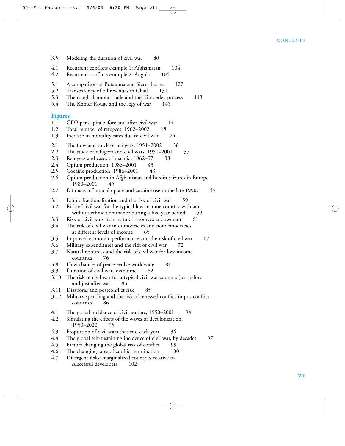#### **CONTENTS**

- 3.5 Modeling the duration of civil war 80
- 4.1 Recurrent conflicts example 1: Afghanistan 104
- 4.2 Recurrent conflicts example 2: Angola 105
- 5.1 A comparison of Botswana and Sierra Leone 127
- 5.2 Transparency of oil revenues in Chad 131
- 5.3 The rough diamond trade and the Kimberley process 143
- 5.4 The Khmer Rouge and the logs of war 145

#### **Figures**

- 1.1 GDP per capita before and after civil war 14
- 1.2 Total number of refugees, 1962–2002 18
- 1.3 Increase in mortality rates due to civil war 24
- 2.1 The flow and stock of refugees, 1951–2002 36
- 2.2 The stock of refugees and civil wars, 1951–2001 37
- 2.3 Refugees and cases of malaria, 1962–97 38
- 2.4 Opium production, 1986–2001 43
- 2.5 Cocaine production, 1986–2001 43
- 2.6 Opium production in Afghanistan and heroin seizures in Europe, 1980–2001 45
- 2.7 Estimates of annual opiate and cocaine use in the late 1990s 45
- 3.1 Ethnic fractionalization and the risk of civil war 59
- 3.2 Risk of civil war for the typical low-income country with and without ethnic dominance during a five-year period 59
- 3.3 Risk of civil wars from natural resources endowment 61
- 3.4 The risk of civil war in domocracies and nondemocracies at different levels of income 65
- 3.5 Improved economic performance and the risk of civil war 67
- 3.6 Military expenditures and the risk of civil war 72
- 3.7 Natural resources and the risk of civil war for low-income countries 76
- 3.8 How chances of peace evolve worldwide 81
- 3.9 Duration of civil wars over time 82
- 3.10 The risk of civil war for a typical civil war country, just before and just after war 83
- 3.11 Diasporas and postconflict risk 85
- 3.12 Military spending and the risk of renewed conflict in postconflict countries 86
- 4.1 The global incidence of civil warfare, 1950–2001 94
- 4.2 Simulating the effects of the waves of decolonization, 1950–2020 95
- 4.3 Proportion of civil wars that end each year 96
- 4.4 The global self-sustaining incidence of civil war, by decades 97
- 4.5 Factors changing the global risk of conflict 99
- 4.6 The changing rates of conflict termination 100
- 4.7 Divergent risks: marginalized countries relative to successful developers 102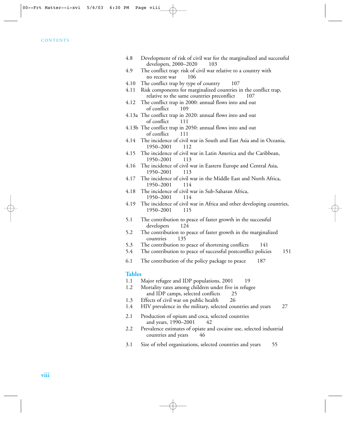**CONTENTS** 

- 4.8 Development of risk of civil war for the marginalized and successful developers, 2000-2020 103
- 4.9 The conflict trap: risk of civil war relative to a country with no recent war 106
- 4.10 The conflict trap by type of country 107
- 4.11 Risk components for marginalized countries in the conflict trap, relative to the same countries preconflict 107
- 4.12 The conflict trap in 2000: annual flows into and out of conflict 109
- 4.13a The conflict trap in 2020: annual flows into and out of conflict 111
- 4.13b The conflict trap in 2050: annual flows into and out of conflict 111
- 4.14 The incidence of civil war in South and East Asia and in Oceania, 1950–2001 112
- 4.15 The incidence of civil war in Latin America and the Caribbean, 1950–2001 113
- 4.16 The incidence of civil war in Eastern Europe and Central Asia, 1950–2001 113
- 4.17 The incidence of civil war in the Middle East and North Africa, 1950–2001 114
- 4.18 The incidence of civil war in Sub-Saharan Africa, 1950–2001 114
- 4.19 The incidence of civil war in Africa and other developing countries, 1950–2001 115
- 5.1 The contribution to peace of faster growth in the successful developers 124
- 5.2 The contribution to peace of faster growth in the marginalized countries 135
- 5.3 The contribution to peace of shortening conflicts 141
- 5.4 The contribution to peace of successful postconflict policies 151
- 6.1 The contribution of the policy package to peace 187

#### **Tables**

- 1.1 Major refugee and IDP populations, 2001 19
- 1.2 Mortality rates among children under five in refugee and IDP camps, selected conflicts 25
- 1.3 Effects of civil war on public health 26
- 1.4 HIV prevalence in the military, selected countries and years 27
- 2.1 Production of opium and coca, selected countries and years, 1990–2001 42
- 2.2 Prevalence estimates of opiate and cocaine use, selected industrial countries and years 46
- 3.1 Size of rebel organizations, selected countries and years 55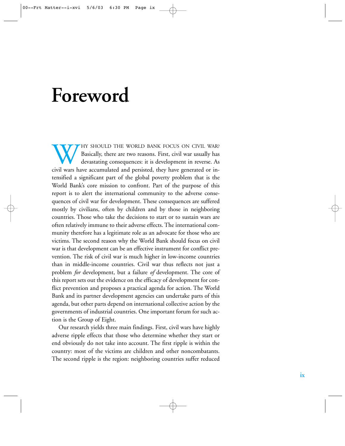# **Foreword**

WHY SHOULD THE WORLD BANK FOCUS ON CIVIL WAR?<br>Basically, there are two reasons. First, civil war usually has<br>devastating consequences: it is development in reverse. As<br>civil wars have accumulated and persisted, they have g Basically, there are two reasons. First, civil war usually has devastating consequences: it is development in reverse. As civil wars have accumulated and persisted, they have generated or intensified a significant part of the global poverty problem that is the World Bank's core mission to confront. Part of the purpose of this report is to alert the international community to the adverse consequences of civil war for development. These consequences are suffered mostly by civilians, often by children and by those in neighboring countries. Those who take the decisions to start or to sustain wars are often relatively immune to their adverse effects. The international community therefore has a legitimate role as an advocate for those who are victims. The second reason why the World Bank should focus on civil war is that development can be an effective instrument for conflict prevention. The risk of civil war is much higher in low-income countries than in middle-income countries. Civil war thus reflects not just a problem *for* development, but a failure *of* development. The core of this report sets out the evidence on the efficacy of development for conflict prevention and proposes a practical agenda for action. The World Bank and its partner development agencies can undertake parts of this agenda, but other parts depend on international collective action by the governments of industrial countries. One important forum for such action is the Group of Eight.

Our research yields three main findings. First, civil wars have highly adverse ripple effects that those who determine whether they start or end obviously do not take into account. The first ripple is within the country: most of the victims are children and other noncombatants. The second ripple is the region: neighboring countries suffer reduced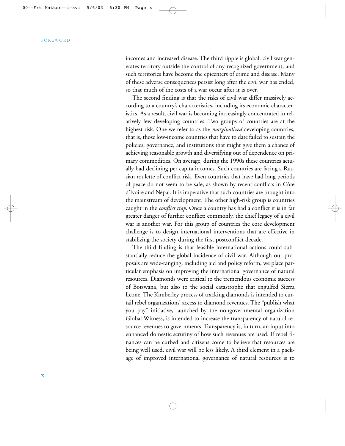#### **FOREWORD**

incomes and increased disease. The third ripple is global: civil war generates territory outside the control of any recognized government, and such territories have become the epicenters of crime and disease. Many of these adverse consequences persist long after the civil war has ended, so that much of the costs of a war occur after it is over.

The second finding is that the risks of civil war differ massively according to a country's characteristics, including its economic characteristics. As a result, civil war is becoming increasingly concentrated in relatively few developing countries. Two groups of countries are at the highest risk. One we refer to as the *marginalized* developing countries, that is, those low-income countries that have to date failed to sustain the policies, governance, and institutions that might give them a chance of achieving reasonable growth and diversifying out of dependence on primary commodities. On average, during the 1990s these countries actually had declining per capita incomes. Such countries are facing a Russian roulette of conflict risk. Even countries that have had long periods of peace do not seem to be safe, as shown by recent conflicts in Côte d'Ivoire and Nepal. It is imperative that such countries are brought into the mainstream of development. The other high-risk group is countries caught in the *conflict trap*. Once a country has had a conflict it is in far greater danger of further conflict: commonly, the chief legacy of a civil war is another war. For this group of countries the core development challenge is to design international interventions that are effective in stabilizing the society during the first postconflict decade.

The third finding is that feasible international actions could substantially reduce the global incidence of civil war. Although our proposals are wide-ranging, including aid and policy reform, we place particular emphasis on improving the international governance of natural resources. Diamonds were critical to the tremendous economic success of Botswana, but also to the social catastrophe that engulfed Sierra Leone. The Kimberley process of tracking diamonds is intended to curtail rebel organizations' access to diamond revenues. The "publish what you pay" initiative, launched by the nongovernmental organization Global Witness, is intended to increase the transparency of natural resource revenues to governments. Transparency is, in turn, an input into enhanced domestic scrutiny of how such revenues are used. If rebel finances can be curbed and citizens come to believe that resources are being well used, civil war will be less likely. A third element in a package of improved international governance of natural resources is to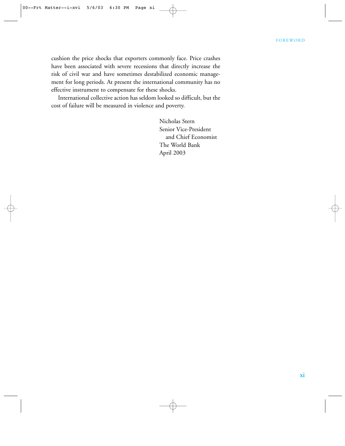#### FOREWORD

cushion the price shocks that exporters commonly face. Price crashes have been associated with severe recessions that directly increase the risk of civil war and have sometimes destabilized economic management for long periods. At present the international community has no effective instrument to compensate for these shocks.

International collective action has seldom looked so difficult, but the cost of failure will be measured in violence and poverty.

> Nicholas Stern Senior Vice-President and Chief Economist The World Bank April 2003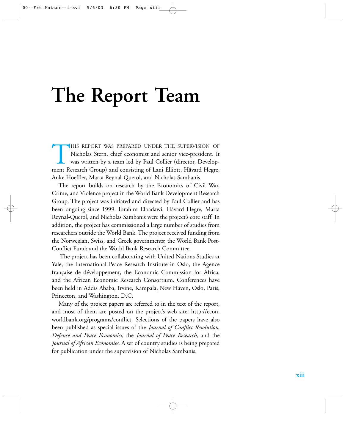# **The Report Team**

THIS REPORT WAS PREPARED UNDER THE SUPERVISION OF<br>Nicholas Stern, chief economist and senior vice-president. It<br>was written by a team led by Paul Collier (director, Develop-<br>ment Research Group) and consisting of Lani Elli Nicholas Stern, chief economist and senior vice-president. It was written by a team led by Paul Collier (director, Development Research Group) and consisting of Lani Elliott, Håvard Hegre, Anke Hoeffler, Marta Reynal-Querol, and Nicholas Sambanis.

The report builds on research by the Economics of Civil War, Crime, and Violence project in the World Bank Development Research Group. The project was initiated and directed by Paul Collier and has been ongoing since 1999. Ibrahim Elbadawi, Håvard Hegre, Marta Reynal-Querol, and Nicholas Sambanis were the project's core staff. In addition, the project has commissioned a large number of studies from researchers outside the World Bank. The project received funding from the Norwegian, Swiss, and Greek governments; the World Bank Post-Conflict Fund; and the World Bank Research Committee.

The project has been collaborating with United Nations Studies at Yale, the International Peace Research Institute in Oslo, the Agence française de développement, the Economic Commission for Africa, and the African Economic Research Consortium. Conferences have been held in Addis Ababa, Irvine, Kampala, New Haven, Oslo, Paris, Princeton, and Washington, D.C.

Many of the project papers are referred to in the text of the report, and most of them are posted on the project's web site: http://econ. worldbank.org/programs/conflict. Selections of the papers have also been published as special issues of the *Journal of Conflict Resolution*, *Defence and Peace Economics*, the *Journal of Peace Research,* and the *Journal of African Economies*. A set of country studies is being prepared for publication under the supervision of Nicholas Sambanis.

**xiii**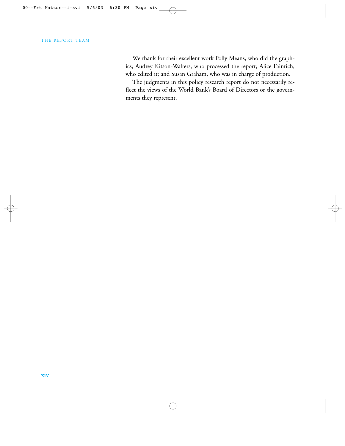#### THE REPORT TEAM

We thank for their excellent work Polly Means, who did the graphics; Audrey Kitson-Walters, who processed the report; Alice Faintich, who edited it; and Susan Graham, who was in charge of production.

The judgments in this policy research report do not necessarily reflect the views of the World Bank's Board of Directors or the governments they represent.

**xiv**